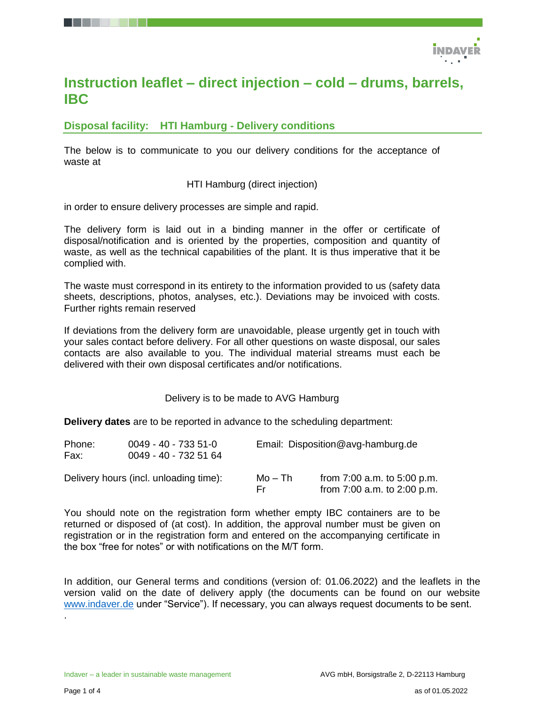

# **Instruction leaflet – direct injection – cold – drums, barrels, IBC**

**Disposal facility: HTI Hamburg - Delivery conditions**

The below is to communicate to you our delivery conditions for the acceptance of waste at

HTI Hamburg (direct injection)

in order to ensure delivery processes are simple and rapid.

The delivery form is laid out in a binding manner in the offer or certificate of disposal/notification and is oriented by the properties, composition and quantity of waste, as well as the technical capabilities of the plant. It is thus imperative that it be complied with.

The waste must correspond in its entirety to the information provided to us (safety data sheets, descriptions, photos, analyses, etc.). Deviations may be invoiced with costs. Further rights remain reserved

If deviations from the delivery form are unavoidable, please urgently get in touch with your sales contact before delivery. For all other questions on waste disposal, our sales contacts are also available to you. The individual material streams must each be delivered with their own disposal certificates and/or notifications.

Delivery is to be made to AVG Hamburg

**Delivery dates** are to be reported in advance to the scheduling department:

| Phone:<br>Fax: | $0049 - 40 - 7335 - 51 - 0$<br>0049 - 40 - 732 51 64 |                | Email: Disposition@avg-hamburg.de                              |  |  |
|----------------|------------------------------------------------------|----------------|----------------------------------------------------------------|--|--|
|                | Delivery hours (incl. unloading time):               | Mo – Th<br>Er. | from $7:00$ a.m. to $5:00$ p.m.<br>from 7:00 a.m. to 2:00 p.m. |  |  |

You should note on the registration form whether empty IBC containers are to be returned or disposed of (at cost). In addition, the approval number must be given on registration or in the registration form and entered on the accompanying certificate in the box "free for notes" or with notifications on the M/T form.

In addition, our General terms and conditions (version of: 01.06.2022) and the leaflets in the version valid on the date of delivery apply (the documents can be found on our website [www.indaver.de](http://www.indaver.de/) under "Service"). If necessary, you can always request documents to be sent.

.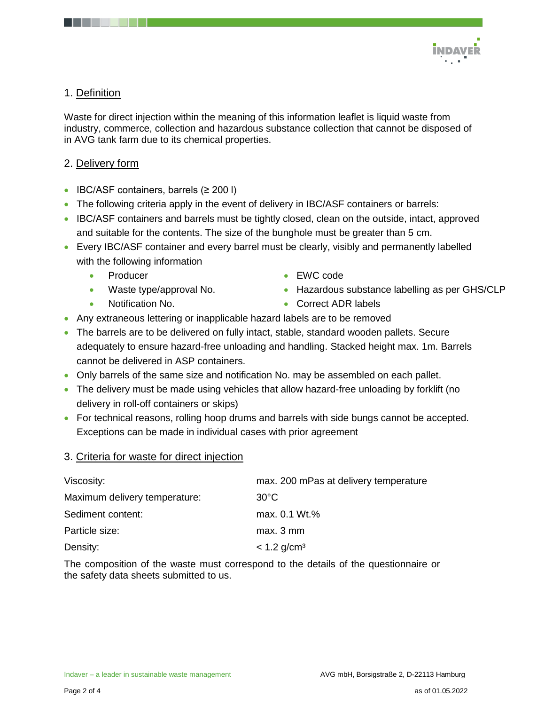

# 1. Definition

Waste for direct injection within the meaning of this information leaflet is liquid waste from industry, commerce, collection and hazardous substance collection that cannot be disposed of in AVG tank farm due to its chemical properties.

## 2. Delivery form

- IBC/ASF containers, barrels  $(≥ 200 I)$
- The following criteria apply in the event of delivery in IBC/ASF containers or barrels:
- IBC/ASF containers and barrels must be tightly closed, clean on the outside, intact, approved and suitable for the contents. The size of the bunghole must be greater than 5 cm.
- Every IBC/ASF container and every barrel must be clearly, visibly and permanently labelled with the following information
	- Producer
	- Waste type/approval No.
	- Notification No.
- EWC code
- Hazardous substance labelling as per GHS/CLP
- **Correct ADR labels**
- Any extraneous lettering or inapplicable hazard labels are to be removed
- The barrels are to be delivered on fully intact, stable, standard wooden pallets. Secure adequately to ensure hazard-free unloading and handling. Stacked height max. 1m. Barrels cannot be delivered in ASP containers.
- Only barrels of the same size and notification No. may be assembled on each pallet.
- The delivery must be made using vehicles that allow hazard-free unloading by forklift (no delivery in roll-off containers or skips)
- For technical reasons, rolling hoop drums and barrels with side bungs cannot be accepted. Exceptions can be made in individual cases with prior agreement

#### 3. Criteria for waste for direct injection

| Viscosity:                    | max. 200 mPas at delivery temperature |
|-------------------------------|---------------------------------------|
| Maximum delivery temperature: | $30^{\circ}$ C                        |
| Sediment content:             | max. 0.1 Wt.%                         |
| Particle size:                | max. 3 mm                             |
| Density:                      | $< 1.2$ g/cm <sup>3</sup>             |

The composition of the waste must correspond to the details of the questionnaire or the safety data sheets submitted to us.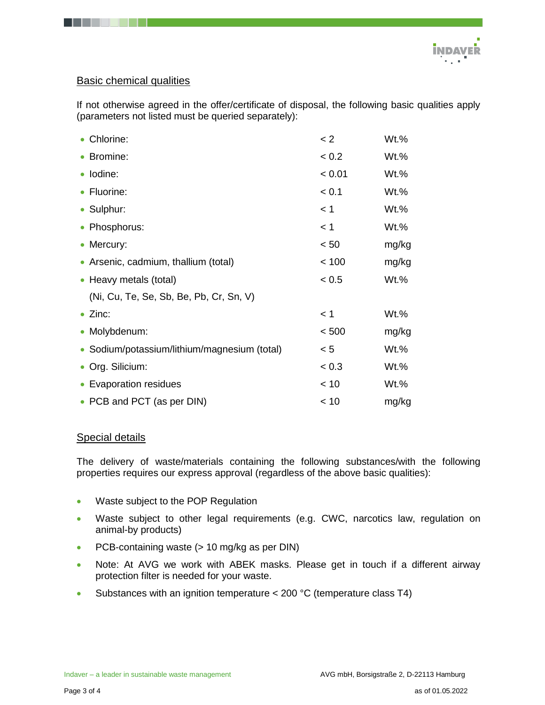

## Basic chemical qualities

If not otherwise agreed in the offer/certificate of disposal, the following basic qualities apply (parameters not listed must be queried separately):

| Chlorine:                                    | < 2    | Wt.%    |  |
|----------------------------------------------|--------|---------|--|
| • Bromine:                                   | < 0.2  | Wt.%    |  |
| · Iodine:                                    | < 0.01 | $Wt.$ % |  |
| • Fluorine:                                  | < 0.1  | $Wt.$ % |  |
| • Sulphur:                                   | < 1    | Wt.%    |  |
| • Phosphorus:                                | < 1    | Wt.%    |  |
| • Mercury:                                   | < 50   | mg/kg   |  |
| • Arsenic, cadmium, thallium (total)         | < 100  | mg/kg   |  |
| • Heavy metals (total)                       | < 0.5  | $Wt.$ % |  |
| (Ni, Cu, Te, Se, Sb, Be, Pb, Cr, Sn, V)      |        |         |  |
| $\bullet$ Zinc:                              | < 1    | Wt.%    |  |
| Molybdenum:                                  | < 500  | mg/kg   |  |
| • Sodium/potassium/lithium/magnesium (total) | < 5    | $Wt.$ % |  |
| • Org. Silicium:                             | < 0.3  | Wt.%    |  |
| <b>Evaporation residues</b>                  | < 10   | Wt.%    |  |
| • PCB and PCT (as per DIN)                   | < 10   | mg/kg   |  |

#### Special details

The delivery of waste/materials containing the following substances/with the following properties requires our express approval (regardless of the above basic qualities):

- Waste subject to the POP Regulation
- Waste subject to other legal requirements (e.g. CWC, narcotics law, regulation on animal-by products)
- PCB-containing waste (> 10 mg/kg as per DIN)
- Note: At AVG we work with ABEK masks. Please get in touch if a different airway protection filter is needed for your waste.
- Substances with an ignition temperature < 200 °C (temperature class T4)